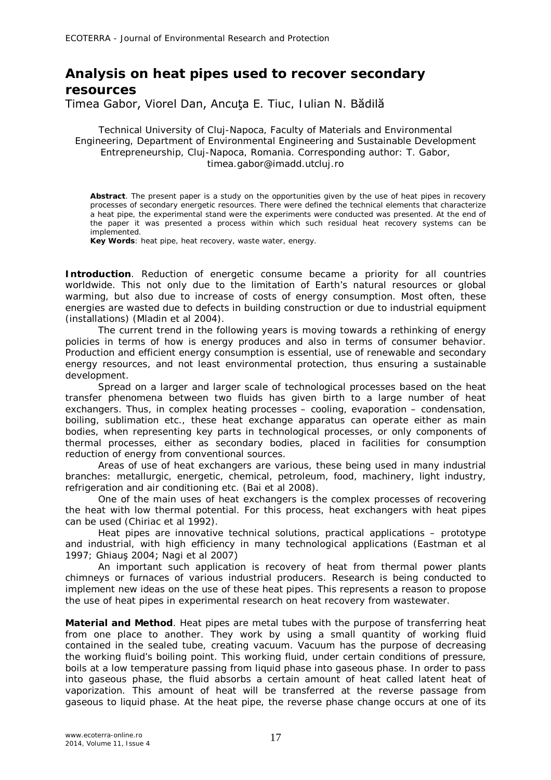## **Analysis on heat pipes used to recover secondary resources**

Timea Gabor, Viorel Dan, Ancuţa E. Tiuc, Iulian N. Bădilă

Technical University of Cluj-Napoca, Faculty of Materials and Environmental Engineering, Department of Environmental Engineering and Sustainable Development Entrepreneurship, Cluj-Napoca, Romania. Corresponding author: T. Gabor, timea.gabor@imadd.utcluj.ro

**Abstract**. The present paper is a study on the opportunities given by the use of heat pipes in recovery processes of secondary energetic resources. There were defined the technical elements that characterize a heat pipe, the experimental stand were the experiments were conducted was presented. At the end of the paper it was presented a process within which such residual heat recovery systems can be implemented.

**Key Words**: heat pipe, heat recovery, waste water, energy.

**Introduction**. Reduction of energetic consume became a priority for all countries worldwide. This not only due to the limitation of Earth's natural resources or global warming, but also due to increase of costs of energy consumption. Most often, these energies are wasted due to defects in building construction or due to industrial equipment (installations) (Mladin et al 2004).

The current trend in the following years is moving towards a rethinking of energy policies in terms of how is energy produces and also in terms of consumer behavior. Production and efficient energy consumption is essential, use of renewable and secondary energy resources, and not least environmental protection, thus ensuring a sustainable development.

Spread on a larger and larger scale of technological processes based on the heat transfer phenomena between two fluids has given birth to a large number of heat exchangers. Thus, in complex heating processes – cooling, evaporation – condensation, boiling, sublimation etc., these heat exchange apparatus can operate either as main bodies, when representing key parts in technological processes, or only components of thermal processes, either as secondary bodies, placed in facilities for consumption reduction of energy from conventional sources.

Areas of use of heat exchangers are various, these being used in many industrial branches: metallurgic, energetic, chemical, petroleum, food, machinery, light industry, refrigeration and air conditioning etc. (Bai et al 2008).

One of the main uses of heat exchangers is the complex processes of recovering the heat with low thermal potential. For this process, heat exchangers with heat pipes can be used (Chiriac et al 1992).

Heat pipes are innovative technical solutions, practical applications – prototype and industrial, with high efficiency in many technological applications (Eastman et al 1997; Ghiauş 2004; Nagi et al 2007)

An important such application is recovery of heat from thermal power plants chimneys or furnaces of various industrial producers. Research is being conducted to implement new ideas on the use of these heat pipes. This represents a reason to propose the use of heat pipes in experimental research on heat recovery from wastewater.

**Material and Method**. Heat pipes are metal tubes with the purpose of transferring heat from one place to another. They work by using a small quantity of working fluid contained in the sealed tube, creating vacuum. Vacuum has the purpose of decreasing the working fluid's boiling point. This working fluid, under certain conditions of pressure, boils at a low temperature passing from liquid phase into gaseous phase. In order to pass into gaseous phase, the fluid absorbs a certain amount of heat called *latent heat of vaporization.* This amount of heat will be transferred at the reverse passage from gaseous to liquid phase. At the heat pipe, the reverse phase change occurs at one of its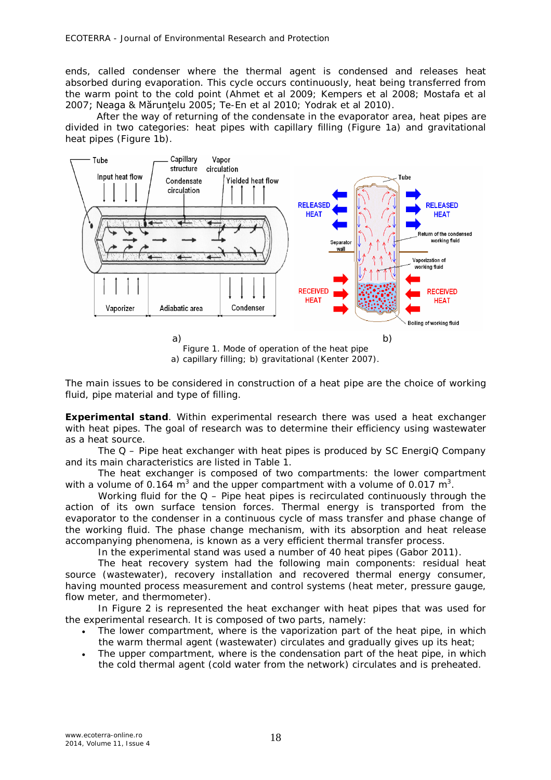ends, called *condenser* where the thermal agent is condensed and releases heat absorbed during evaporation. This cycle occurs continuously, heat being transferred from the warm point to the cold point (Ahmet et al 2009; Kempers et al 2008; Mostafa et al 2007; Neaga & Mărunţelu 2005; Te-En et al 2010; Yodrak et al 2010).

After the way of returning of the condensate in the evaporator area, heat pipes are divided in two categories: heat pipes with capillary filling (Figure 1a) and gravitational heat pipes (Figure 1b).



a) capillary filling; b) gravitational (Kenter 2007).

The main issues to be considered in construction of a heat pipe are the choice of working fluid, pipe material and type of filling.

*Experimental stand.* Within experimental research there was used a heat exchanger with heat pipes. The goal of research was to determine their efficiency using wastewater as a heat source.

The Q – Pipe heat exchanger with heat pipes is produced by SC EnergiQ Company and its main characteristics are listed in Table 1.

The heat exchanger is composed of two compartments: the lower compartment with a volume of 0.164 m<sup>3</sup> and the upper compartment with a volume of 0.017 m<sup>3</sup>.

Working fluid for the  $Q -$  Pipe heat pipes is recirculated continuously through the action of its own surface tension forces. Thermal energy is transported from the evaporator to the condenser in a continuous cycle of mass transfer and phase change of the working fluid. The phase change mechanism, with its absorption and heat release accompanying phenomena, is known as a very efficient thermal transfer process.

In the experimental stand was used a number of 40 heat pipes (Gabor 2011).

The heat recovery system had the following main components: residual heat source (wastewater), recovery installation and recovered thermal energy consumer, having mounted process measurement and control systems (heat meter, pressure gauge, flow meter, and thermometer).

In Figure 2 is represented the heat exchanger with heat pipes that was used for the experimental research. It is composed of two parts, namely:

- *The lower compartment*, where is the vaporization part of the heat pipe, in which the warm thermal agent (wastewater) circulates and gradually gives up its heat;
- *The upper compartment,* where is the condensation part of the heat pipe, in which the cold thermal agent (cold water from the network) circulates and is preheated.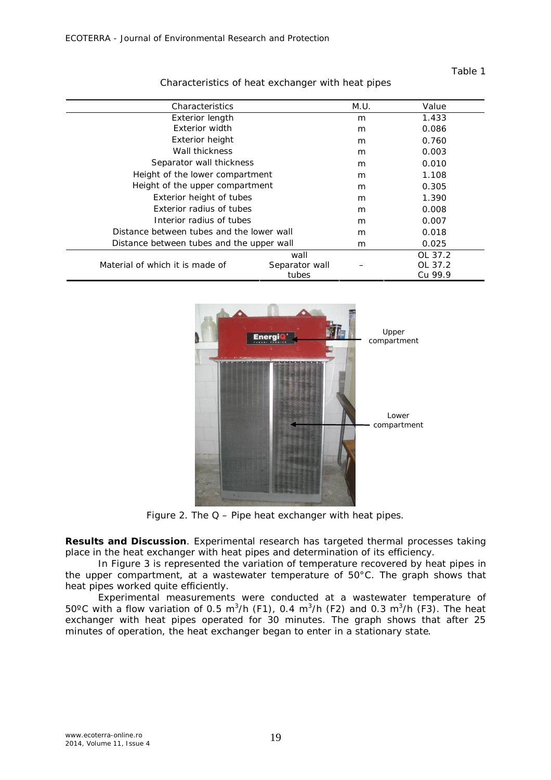## Table 1

| Characteristics                           |                | M.U. | Value   |
|-------------------------------------------|----------------|------|---------|
| Exterior length                           |                | m    | 1.433   |
| Exterior width                            |                | m    | 0.086   |
| Exterior height                           |                | m    | 0.760   |
| Wall thickness                            |                | m    | 0.003   |
| Separator wall thickness                  |                | m    | 0.010   |
| Height of the lower compartment           |                | m    | 1.108   |
| Height of the upper compartment           |                | m    | 0.305   |
| Exterior height of tubes                  |                | m    | 1.390   |
| Exterior radius of tubes                  |                | m    | 0.008   |
| Interior radius of tubes                  |                | m    | 0.007   |
| Distance between tubes and the lower wall |                | m    | 0.018   |
| Distance between tubes and the upper wall |                | m    | 0.025   |
| Material of which it is made of           | wall           |      | OL 37.2 |
|                                           | Separator wall |      | OL 37.2 |
|                                           | tubes          |      | Cu 99.9 |

Characteristics of heat exchanger with heat pipes



Figure 2. The  $Q$  – Pipe heat exchanger with heat pipes.

**Results and Discussion**. Experimental research has targeted thermal processes taking place in the heat exchanger with heat pipes and determination of its efficiency.

In Figure 3 is represented the variation of temperature recovered by heat pipes in the upper compartment, at a wastewater temperature of 50°C. The graph shows that heat pipes worked quite efficiently.

Experimental measurements were conducted at a wastewater temperature of 50°C with a flow variation of 0.5 m<sup>3</sup>/h (F1), 0.4 m<sup>3</sup>/h (F2) and 0.3 m<sup>3</sup>/h (F3). The heat exchanger with heat pipes operated for 30 minutes. The graph shows that after 25 minutes of operation, the heat exchanger began to enter in a stationary state.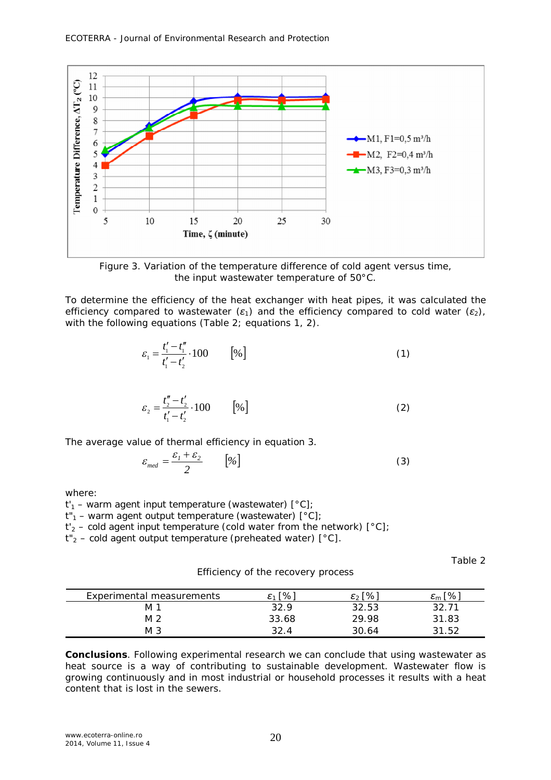

Figure 3. Variation of the temperature difference of cold agent versus time, the input wastewater temperature of 50°C.

To determine the efficiency of the heat exchanger with heat pipes, it was calculated the efficiency compared to wastewater (*ε1*) and the efficiency compared to cold water (*ε2*), with the following equations (Table 2; equations 1, 2).

$$
\varepsilon_1 = \frac{t_1' - t_1''}{t_1' - t_2'} \cdot 100 \qquad [%]
$$
 (1)

$$
\varepsilon_2 = \frac{t_2'' - t_2'}{t_1' - t_2'} \cdot 100 \qquad \left[ \% \right] \tag{2}
$$

The average value of thermal efficiency in equation 3.

$$
\varepsilon_{med} = \frac{\varepsilon_1 + \varepsilon_2}{2} \qquad [\%]
$$
 (3)

where:

*t'<sup>1</sup>* – warm agent input temperature (wastewater) [°C];

 $t''_1$  – warm agent output temperature (wastewater)  $[^{\circ}C]$ ;

 $t'$ <sub>2</sub> – cold agent input temperature (cold water from the network)  $[^{\circ}C]$ ;

*t"<sup>2</sup>* – cold agent output temperature (preheated water) [°C].

Table 2

*Experimental measurements*  $\epsilon_1$  [%]  $\epsilon_2$  [%]  $\epsilon_m$  [%] M 1 32.9 32.53 32.71 M 2 33.68 29.98 31.83 M 3 32.4 30.64 31.52

Efficiency of the recovery process

**Conclusions**. Following experimental research we can conclude that using wastewater as heat source is a way of contributing to sustainable development. Wastewater flow is growing continuously and in most industrial or household processes it results with a heat content that is lost in the sewers.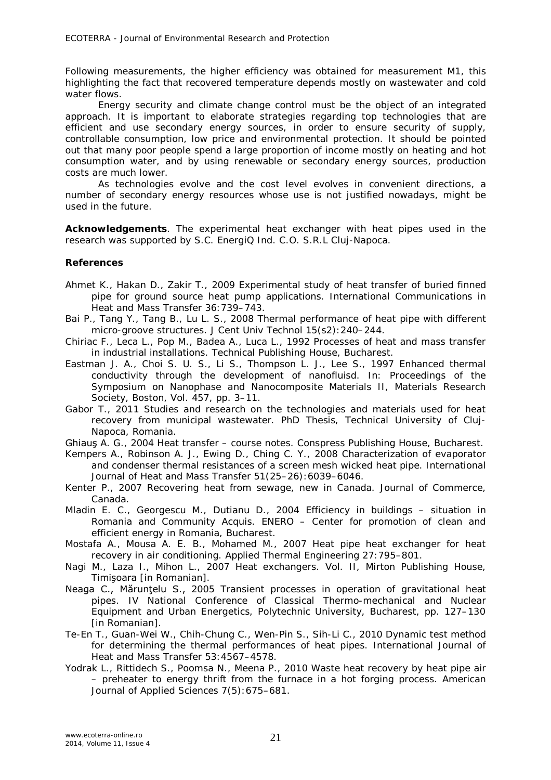Following measurements, the higher efficiency was obtained for measurement M1, this highlighting the fact that recovered temperature depends mostly on wastewater and cold water flows.

Energy security and climate change control must be the object of an integrated approach. It is important to elaborate strategies regarding top technologies that are efficient and use secondary energy sources, in order to ensure security of supply, controllable consumption, low price and environmental protection. It should be pointed out that many poor people spend a large proportion of income mostly on heating and hot consumption water, and by using renewable or secondary energy sources, production costs are much lower.

As technologies evolve and the cost level evolves in convenient directions, a number of secondary energy resources whose use is not justified nowadays, might be used in the future.

**Acknowledgements**. The experimental heat exchanger with heat pipes used in the research was supported by S.C. EnergiQ Ind. C.O. S.R.L Cluj-Napoca.

## **References**

- Ahmet K., Hakan D., Zakir T., 2009 Experimental study of heat transfer of buried finned pipe for ground source heat pump applications. International Communications in Heat and Mass Transfer 36:739–743.
- Bai P., Tang Y., Tang B., Lu L. S., 2008 Thermal performance of heat pipe with different micro-groove structures. J Cent Univ Technol 15(s2):240–244.
- Chiriac F., Leca L., Pop M., Badea A., Luca L., 1992 Processes of heat and mass transfer in industrial installations. Technical Publishing House, Bucharest.
- Eastman J. A., Choi S. U. S., Li S., Thompson L. J., Lee S., 1997 Enhanced thermal conductivity through the development of nanofluisd. In: Proceedings of the Symposium on Nanophase and Nanocomposite Materials II, Materials Research Society, Boston, Vol. 457, pp. 3–11.
- Gabor T., 2011 Studies and research on the technologies and materials used for heat recovery from municipal wastewater. PhD Thesis, Technical University of Cluj-Napoca, Romania.
- Ghiauş A. G., 2004 Heat transfer course notes. Conspress Publishing House, Bucharest.
- Kempers A., Robinson A. J., Ewing D., Ching C. Y., 2008 Characterization of evaporator and condenser thermal resistances of a screen mesh wicked heat pipe. International Journal of Heat and Mass Transfer 51(25–26):6039–6046.
- Kenter P., 2007 Recovering heat from sewage, new in Canada. Journal of Commerce, Canada.
- Mladin E. C., Georgescu M., Dutianu D., 2004 Efficiency in buildings situation in Romania and Community Acquis. ENERO – Center for promotion of clean and efficient energy in Romania, Bucharest.
- Mostafa A., Mousa A. E. B., Mohamed M., 2007 Heat pipe heat exchanger for heat recovery in air conditioning. Applied Thermal Engineering 27:795–801.
- Nagi M., Laza I., Mihon L., 2007 Heat exchangers. Vol. II, Mirton Publishing House, Timişoara [in Romanian].
- Neaga C., Mărunțelu S., 2005 Transient processes in operation of gravitational heat pipes. IV National Conference of Classical Thermo-mechanical and Nuclear Equipment and Urban Energetics, Polytechnic University, Bucharest, pp. 127–130 [in Romanian].
- Te-En T., Guan-Wei W., Chih-Chung C., Wen-Pin S., Sih-Li C., 2010 Dynamic test method for determining the thermal performances of heat pipes. International Journal of Heat and Mass Transfer 53:4567–4578.
- Yodrak L., Rittidech S., Poomsa N., Meena P., 2010 Waste heat recovery by heat pipe air – preheater to energy thrift from the furnace in a hot forging process. American Journal of Applied Sciences 7(5):675–681.